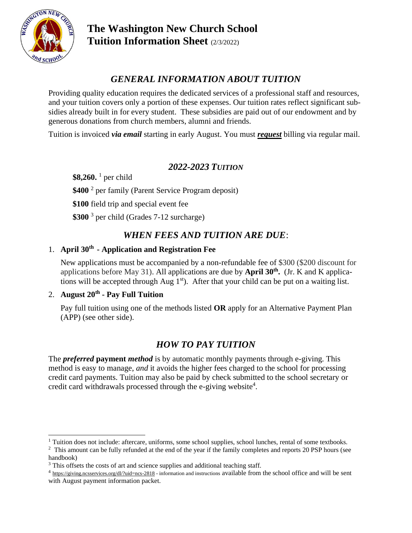

# *GENERAL INFORMATION ABOUT TUITION*

Providing quality education requires the dedicated services of a professional staff and resources, and your tuition covers only a portion of these expenses. Our tuition rates reflect significant subsidies already built in for every student. These subsidies are paid out of our endowment and by generous donations from church members, alumni and friends.

Tuition is invoiced *via email* starting in early August. You must *request* billing via regular mail.

### *2022-2023 TUITION*

**\$8,260.** <sup>1</sup> per child

\$400<sup>2</sup> per family (Parent Service Program deposit)

**\$100** field trip and special event fee

**\$300** <sup>3</sup> per child (Grades 7-12 surcharge)

## *WHEN FEES AND TUITION ARE DUE*:

### 1. **April 30th - Application and Registration Fee**

New applications must be accompanied by a non-refundable fee of \$300 (\$200 discount for applications before May 31). All applications are due by **April 30th .** (Jr. K and K applications will be accepted through Aug  $1<sup>st</sup>$ ). After that your child can be put on a waiting list.

#### 2. **August 20th - Pay Full Tuition**

Pay full tuition using one of the methods listed **OR** apply for an Alternative Payment Plan (APP) (see other side).

## *HOW TO PAY TUITION*

The *preferred* **payment** *method* is by automatic monthly payments through e-giving. This method is easy to manage, *and* it avoids the higher fees charged to the school for processing credit card payments. Tuition may also be paid by check submitted to the school secretary or credit card withdrawals processed through the e-giving website<sup>4</sup>.

<sup>&</sup>lt;sup>1</sup> Tuition does not include: aftercare, uniforms, some school supplies, school lunches, rental of some textbooks.

 $2$  This amount can be fully refunded at the end of the year if the family completes and reports 20 PSP hours (see handbook)

<sup>&</sup>lt;sup>3</sup> This offsets the costs of art and science supplies and additional teaching staff.

 $4 \frac{\text{https://giving.ncs services.org/dl/~uid=ncs-2818 - information and instructions available from the school office and will be sent.}$ with August payment information packet.